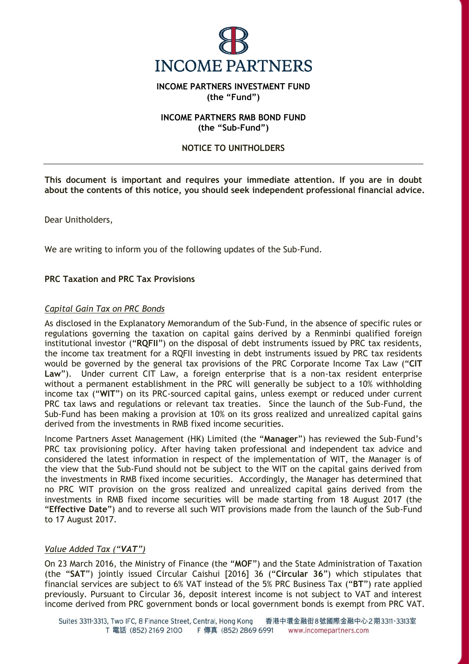

## **INCOME PARTNERS INVESTMENT FUND (the "Fund")**

# **INCOME PARTNERS RMB BOND FUND (the "Sub-Fund")**

# **NOTICE TO UNITHOLDERS**

**This document is important and requires your immediate attention. If you are in doubt about the contents of this notice, you should seek independent professional financial advice.**

Dear Unitholders,

We are writing to inform you of the following updates of the Sub-Fund.

## **PRC Taxation and PRC Tax Provisions**

## *Capital Gain Tax on PRC Bonds*

As disclosed in the Explanatory Memorandum of the Sub-Fund, in the absence of specific rules or regulations governing the taxation on capital gains derived by a Renminbi qualified foreign institutional investor ("**RQFII**") on the disposal of debt instruments issued by PRC tax residents, the income tax treatment for a RQFII investing in debt instruments issued by PRC tax residents would be governed by the general tax provisions of the PRC Corporate Income Tax Law ("**CIT Law**"). Under current CIT Law, a foreign enterprise that is a non-tax resident enterprise without a permanent establishment in the PRC will generally be subject to a 10% withholding income tax ("**WIT**") on its PRC-sourced capital gains, unless exempt or reduced under current PRC tax laws and regulations or relevant tax treaties. Since the launch of the Sub-Fund, the Sub-Fund has been making a provision at 10% on its gross realized and unrealized capital gains derived from the investments in RMB fixed income securities.

Income Partners Asset Management (HK) Limited (the "**Manager**") has reviewed the Sub-Fund's PRC tax provisioning policy. After having taken professional and independent tax advice and considered the latest information in respect of the implementation of WIT, the Manager is of the view that the Sub-Fund should not be subject to the WIT on the capital gains derived from the investments in RMB fixed income securities. Accordingly, the Manager has determined that no PRC WIT provision on the gross realized and unrealized capital gains derived from the investments in RMB fixed income securities will be made starting from 18 August 2017 (the "**Effective Date**") and to reverse all such WIT provisions made from the launch of the Sub-Fund to 17 August 2017.

# *Value Added Tax ("VAT")*

On 23 March 2016, the Ministry of Finance (the "**MOF**") and the State Administration of Taxation (the "**SAT**") jointly issued Circular Caishui [2016] 36 ("**Circular 36**") which stipulates that financial services are subject to 6% VAT instead of the 5% PRC Business Tax ("**BT**") rate applied previously. Pursuant to Circular 36, deposit interest income is not subject to VAT and interest income derived from PRC government bonds or local government bonds is exempt from PRC VAT.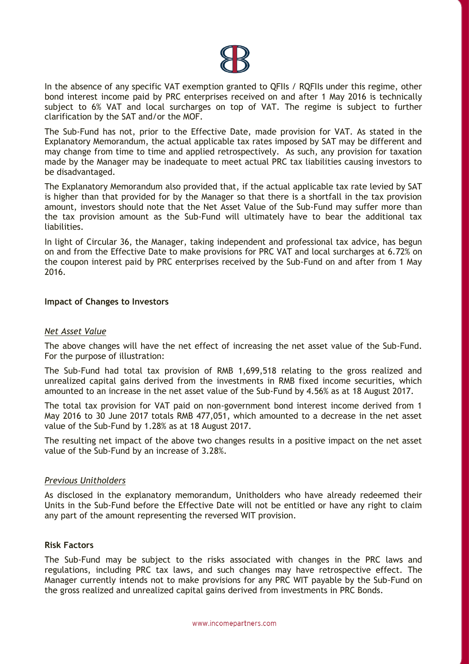

In the absence of any specific VAT exemption granted to QFIIs / RQFIIs under this regime, other bond interest income paid by PRC enterprises received on and after 1 May 2016 is technically subject to 6% VAT and local surcharges on top of VAT. The regime is subject to further clarification by the SAT and/or the MOF.

The Sub-Fund has not, prior to the Effective Date, made provision for VAT. As stated in the Explanatory Memorandum, the actual applicable tax rates imposed by SAT may be different and may change from time to time and applied retrospectively. As such, any provision for taxation made by the Manager may be inadequate to meet actual PRC tax liabilities causing investors to be disadvantaged.

The Explanatory Memorandum also provided that, if the actual applicable tax rate levied by SAT is higher than that provided for by the Manager so that there is a shortfall in the tax provision amount, investors should note that the Net Asset Value of the Sub-Fund may suffer more than the tax provision amount as the Sub-Fund will ultimately have to bear the additional tax liabilities.

In light of Circular 36, the Manager, taking independent and professional tax advice, has begun on and from the Effective Date to make provisions for PRC VAT and local surcharges at 6.72% on the coupon interest paid by PRC enterprises received by the Sub-Fund on and after from 1 May 2016.

### **Impact of Changes to Investors**

#### *Net Asset Value*

The above changes will have the net effect of increasing the net asset value of the Sub-Fund. For the purpose of illustration:

The Sub-Fund had total tax provision of RMB 1,699,518 relating to the gross realized and unrealized capital gains derived from the investments in RMB fixed income securities, which amounted to an increase in the net asset value of the Sub-Fund by 4.56% as at 18 August 2017.

The total tax provision for VAT paid on non-government bond interest income derived from 1 May 2016 to 30 June 2017 totals RMB 477,051, which amounted to a decrease in the net asset value of the Sub-Fund by 1.28% as at 18 August 2017.

The resulting net impact of the above two changes results in a positive impact on the net asset value of the Sub-Fund by an increase of 3.28%.

#### *Previous Unitholders*

As disclosed in the explanatory memorandum, Unitholders who have already redeemed their Units in the Sub-Fund before the Effective Date will not be entitled or have any right to claim any part of the amount representing the reversed WIT provision.

#### **Risk Factors**

The Sub-Fund may be subject to the risks associated with changes in the PRC laws and regulations, including PRC tax laws, and such changes may have retrospective effect. The Manager currently intends not to make provisions for any PRC WIT payable by the Sub-Fund on the gross realized and unrealized capital gains derived from investments in PRC Bonds.